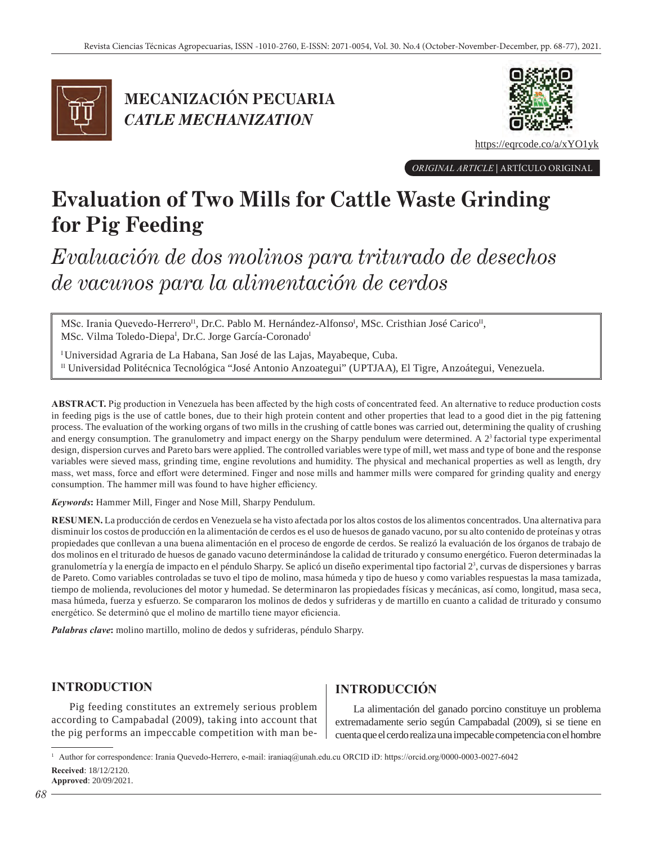

**MECANIZACIÓN PECUARIA**  *CATLE MECHANIZATION*



https://eqrcode.co/a/xYO1yk

*ORIGINAL ARTICLE* | ARTÍCULO ORIGINAL

# **Evaluation of Two Mills for Cattle Waste Grinding for Pig Feeding**

*Evaluación de dos molinos para triturado de desechos de vacunos para la alimentación de cerdos*

MSc. Irania Quevedo-Herrero<sup>I1</sup>, Dr.C. Pablo M. Hernández-Alfonso<sup>I</sup>, MSc. Cristhian José Carico<sup>II</sup>, MSc. Vilma Toledo-Diepa<sup>I</sup>, Dr.C. Jorge García-Coronado<sup>I</sup>

<sup>I</sup> Universidad Agraria de La Habana, San José de las Lajas, Mayabeque, Cuba. II Universidad Politécnica Tecnológica "José Antonio Anzoategui" (UPTJAA), El Tigre, Anzoátegui, Venezuela.

**ABSTRACT.** Pig production in Venezuela has been affected by the high costs of concentrated feed. An alternative to reduce production costs in feeding pigs is the use of cattle bones, due to their high protein content and other properties that lead to a good diet in the pig fattening process. The evaluation of the working organs of two mills in the crushing of cattle bones was carried out, determining the quality of crushing and energy consumption. The granulometry and impact energy on the Sharpy pendulum were determined. A  $2<sup>3</sup>$  factorial type experimental design, dispersion curves and Pareto bars were applied. The controlled variables were type of mill, wet mass and type of bone and the response variables were sieved mass, grinding time, engine revolutions and humidity. The physical and mechanical properties as well as length, dry mass, wet mass, force and effort were determined. Finger and nose mills and hammer mills were compared for grinding quality and energy consumption. The hammer mill was found to have higher efficiency.

*Keywords***:** Hammer Mill, Finger and Nose Mill, Sharpy Pendulum.

**RESUMEN.** La producción de cerdos en Venezuela se ha visto afectada por los altos costos de los alimentos concentrados. Una alternativa para disminuir los costos de producción en la alimentación de cerdos es el uso de huesos de ganado vacuno, por su alto contenido de proteínas y otras propiedades que conllevan a una buena alimentación en el proceso de engorde de cerdos. Se realizó la evaluación de los órganos de trabajo de dos molinos en el triturado de huesos de ganado vacuno determinándose la calidad de triturado y consumo energético. Fueron determinadas la granulometría y la energía de impacto en el péndulo Sharpy. Se aplicó un diseño experimental tipo factorial 2<sup>3</sup>, curvas de dispersiones y barras de Pareto. Como variables controladas se tuvo el tipo de molino, masa húmeda y tipo de hueso y como variables respuestas la masa tamizada, tiempo de molienda, revoluciones del motor y humedad. Se determinaron las propiedades físicas y mecánicas, así como, longitud, masa seca, masa húmeda, fuerza y esfuerzo. Se compararon los molinos de dedos y sufrideras y de martillo en cuanto a calidad de triturado y consumo energético. Se determinó que el molino de martillo tiene mayor eficiencia.

*Palabras clave***:** molino martillo, molino de dedos y sufrideras, péndulo Sharpy.

# **INTRODUCTION**

Pig feeding constitutes an extremely serious problem according to Campabadal (2009), taking into account that the pig performs an impeccable competition with man be-

# **INTRODUCCIÓN**

La alimentación del ganado porcino constituye un problema extremadamente serio según Campabadal (2009), si se tiene en cuenta que el cerdo realiza una impecable competencia con el hombre

<sup>1</sup> Author for correspondence: Irania Quevedo-Herrero, e-mail: iraniaq@unah.edu.cu ORCID iD: https://orcid.org/0000-0003-0027-6042 **Received**: 18/12/2120. **Approved**: 20/09/2021.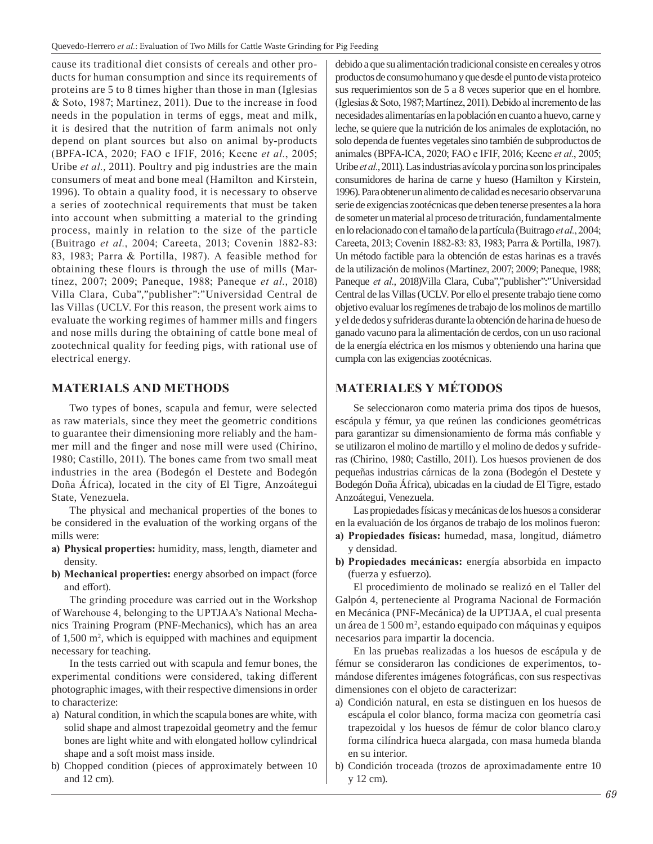cause its traditional diet consists of cereals and other products for human consumption and since its requirements of proteins are 5 to 8 times higher than those in man (Iglesias & Soto, 1987; Martinez, 2011). Due to the increase in food needs in the population in terms of eggs, meat and milk, it is desired that the nutrition of farm animals not only depend on plant sources but also on animal by-products (BPFA-ICA, 2020; FAO e IFIF, 2016; Keene *et al.*, 2005; Uribe *et al.*, 2011). Poultry and pig industries are the main consumers of meat and bone meal (Hamilton and Kirstein, 1996). To obtain a quality food, it is necessary to observe a series of zootechnical requirements that must be taken into account when submitting a material to the grinding process, mainly in relation to the size of the particle (Buitrago *et al.*, 2004; Careeta, 2013; Covenin 1882-83: 83, 1983; Parra & Portilla, 1987). A feasible method for obtaining these flours is through the use of mills (Martínez, 2007; 2009; Paneque, 1988; Paneque *et al.*, 2018) Villa Clara, Cuba","publisher":"Universidad Central de las Villas (UCLV. For this reason, the present work aims to evaluate the working regimes of hammer mills and fingers and nose mills during the obtaining of cattle bone meal of zootechnical quality for feeding pigs, with rational use of electrical energy.

#### **MATERIALS AND METHODS**

Two types of bones, scapula and femur, were selected as raw materials, since they meet the geometric conditions to guarantee their dimensioning more reliably and the hammer mill and the finger and nose mill were used (Chirino, 1980; Castillo, 2011). The bones came from two small meat industries in the area (Bodegón el Destete and Bodegón Doña África), located in the city of El Tigre, Anzoátegui State, Venezuela.

The physical and mechanical properties of the bones to be considered in the evaluation of the working organs of the mills were:

- **a) Physical properties:** humidity, mass, length, diameter and density.
- **b) Mechanical properties:** energy absorbed on impact (force and effort).

The grinding procedure was carried out in the Workshop of Warehouse 4, belonging to the UPTJAA's National Mechanics Training Program (PNF-Mechanics), which has an area of 1,500 m<sup>2</sup>, which is equipped with machines and equipment necessary for teaching.

In the tests carried out with scapula and femur bones, the experimental conditions were considered, taking different photographic images, with their respective dimensions in order to characterize:

- a) Natural condition, in which the scapula bones are white, with solid shape and almost trapezoidal geometry and the femur bones are light white and with elongated hollow cylindrical shape and a soft moist mass inside.
- b) Chopped condition (pieces of approximately between 10 and 12 cm).

debido a que su alimentación tradicional consiste en cereales y otros productos de consumo humano y que desde el punto de vista proteico sus requerimientos son de 5 a 8 veces superior que en el hombre. (Iglesias & Soto, 1987; Martínez, 2011). Debido al incremento de las necesidades alimentarías en la población en cuanto a huevo, carne y leche, se quiere que la nutrición de los animales de explotación, no solo dependa de fuentes vegetales sino también de subproductos de animales (BPFA-ICA, 2020; FAO e IFIF, 2016; Keene *et al.*, 2005; Uribe *etal.*, 2011). Las industrias avícola y porcina son los principales consumidores de harina de carne y hueso (Hamilton y Kirstein, 1996). Para obtener un alimento de calidad es necesario observar una serie de exigencias zootécnicas que deben tenerse presentes a la hora de someter un material al proceso de trituración, fundamentalmente en lo relacionado con el tamaño de la partícula (Buitrago *etal.*, 2004; Careeta, 2013; Covenin 1882-83: 83, 1983; Parra & Portilla, 1987). Un método factible para la obtención de estas harinas es a través de la utilización de molinos (Martínez, 2007; 2009; Paneque, 1988; Paneque *et al.*, 2018)Villa Clara, Cuba","publisher":"Universidad Central de las Villas (UCLV. Por ello el presente trabajo tiene como objetivo evaluar los regímenes de trabajo de los molinos de martillo y el de dedos y sufrideras durante la obtención de harina de hueso de ganado vacuno para la alimentación de cerdos, con un uso racional de la energía eléctrica en los mismos y obteniendo una harina que cumpla con las exigencias zootécnicas.

## **MATERIALES Y MÉTODOS**

Se seleccionaron como materia prima dos tipos de huesos, escápula y fémur, ya que reúnen las condiciones geométricas para garantizar su dimensionamiento de forma más confiable y se utilizaron el molino de martillo y el molino de dedos y sufrideras (Chirino, 1980; Castillo, 2011). Los huesos provienen de dos pequeñas industrias cárnicas de la zona (Bodegón el Destete y Bodegón Doña África), ubicadas en la ciudad de El Tigre, estado Anzoátegui, Venezuela.

Las propiedades físicas y mecánicas de los huesos a considerar en la evaluación de los órganos de trabajo de los molinos fueron:

- **a) Propiedades físicas:** humedad, masa, longitud, diámetro y densidad.
- **b) Propiedades mecánicas:** energía absorbida en impacto (fuerza y esfuerzo).

El procedimiento de molinado se realizó en el Taller del Galpón 4, perteneciente al Programa Nacional de Formación en Mecánica (PNF-Mecánica) de la UPTJAA, el cual presenta un área de 1 500 m<sup>2</sup>, estando equipado con máquinas y equipos necesarios para impartir la docencia.

En las pruebas realizadas a los huesos de escápula y de fémur se consideraron las condiciones de experimentos, tomándose diferentes imágenes fotográficas, con sus respectivas dimensiones con el objeto de caracterizar:

- a) Condición natural, en esta se distinguen en los huesos de escápula el color blanco, forma maciza con geometría casi trapezoidal y los huesos de fémur de color blanco claro.y forma cilíndrica hueca alargada, con masa humeda blanda en su interior.
- b) Condición troceada (trozos de aproximadamente entre 10 y 12 cm).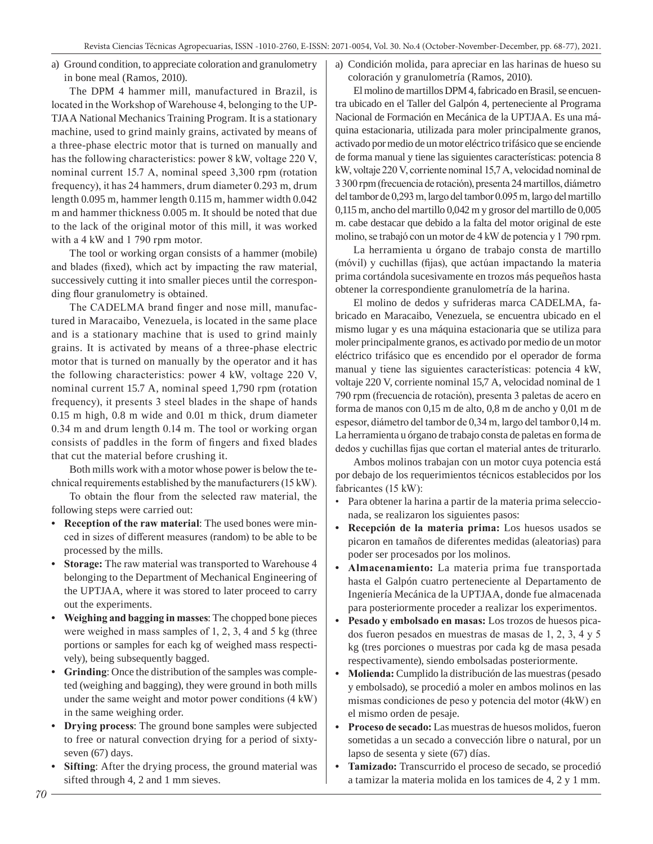a) Ground condition, to appreciate coloration and granulometry in bone meal (Ramos, 2010).

The DPM 4 hammer mill, manufactured in Brazil, is located in the Workshop of Warehouse 4, belonging to the UP-TJAA National Mechanics Training Program. It is a stationary machine, used to grind mainly grains, activated by means of a three-phase electric motor that is turned on manually and has the following characteristics: power 8 kW, voltage 220 V, nominal current 15.7 A, nominal speed 3,300 rpm (rotation frequency), it has 24 hammers, drum diameter 0.293 m, drum length 0.095 m, hammer length 0.115 m, hammer width 0.042 m and hammer thickness 0.005 m. It should be noted that due to the lack of the original motor of this mill, it was worked with a 4 kW and 1 790 rpm motor.

The tool or working organ consists of a hammer (mobile) and blades (fixed), which act by impacting the raw material, successively cutting it into smaller pieces until the corresponding flour granulometry is obtained.

The CADELMA brand finger and nose mill, manufactured in Maracaibo, Venezuela, is located in the same place and is a stationary machine that is used to grind mainly grains. It is activated by means of a three-phase electric motor that is turned on manually by the operator and it has the following characteristics: power 4 kW, voltage 220 V, nominal current 15.7 A, nominal speed 1,790 rpm (rotation frequency), it presents 3 steel blades in the shape of hands 0.15 m high, 0.8 m wide and 0.01 m thick, drum diameter 0.34 m and drum length 0.14 m. The tool or working organ consists of paddles in the form of fingers and fixed blades that cut the material before crushing it.

Both mills work with a motor whose power is below the technical requirements established by the manufacturers (15 kW).

To obtain the flour from the selected raw material, the following steps were carried out:

- **• Reception of the raw material**: The used bones were minced in sizes of different measures (random) to be able to be processed by the mills.
- **• Storage:** The raw material was transported to Warehouse 4 belonging to the Department of Mechanical Engineering of the UPTJAA, where it was stored to later proceed to carry out the experiments.
- **• Weighing and bagging in masses**: The chopped bone pieces were weighed in mass samples of 1, 2, 3, 4 and 5 kg (three portions or samples for each kg of weighed mass respectively), being subsequently bagged.
- **• Grinding**: Once the distribution of the samples was completed (weighing and bagging), they were ground in both mills under the same weight and motor power conditions (4 kW) in the same weighing order.
- **• Drying process**: The ground bone samples were subjected to free or natural convection drying for a period of sixtyseven (67) days.
- **• Sifting**: After the drying process, the ground material was sifted through 4, 2 and 1 mm sieves.

a) Condición molida, para apreciar en las harinas de hueso su coloración y granulometría (Ramos, 2010).

El molino de martillos DPM 4, fabricado en Brasil, se encuentra ubicado en el Taller del Galpón 4, perteneciente al Programa Nacional de Formación en Mecánica de la UPTJAA. Es una máquina estacionaria, utilizada para moler principalmente granos, activado por medio de un motor eléctrico trifásico que se enciende de forma manual y tiene las siguientes características: potencia 8 kW, voltaje 220 V, corriente nominal 15,7 A, velocidad nominal de 3 300 rpm (frecuencia de rotación), presenta 24 martillos, diámetro del tambor de 0,293 m, largo del tambor 0.095 m, largo del martillo 0,115 m, ancho del martillo 0,042 m y grosor del martillo de 0,005 m. cabe destacar que debido a la falta del motor original de este molino, se trabajó con un motor de 4 kW de potencia y 1 790 rpm.

La herramienta u órgano de trabajo consta de martillo (móvil) y cuchillas (fijas), que actúan impactando la materia prima cortándola sucesivamente en trozos más pequeños hasta obtener la correspondiente granulometría de la harina.

El molino de dedos y sufrideras marca CADELMA, fabricado en Maracaibo, Venezuela, se encuentra ubicado en el mismo lugar y es una máquina estacionaria que se utiliza para moler principalmente granos, es activado por medio de un motor eléctrico trifásico que es encendido por el operador de forma manual y tiene las siguientes características: potencia 4 kW, voltaje 220 V, corriente nominal 15,7 A, velocidad nominal de 1 790 rpm (frecuencia de rotación), presenta 3 paletas de acero en forma de manos con 0,15 m de alto, 0,8 m de ancho y 0,01 m de espesor, diámetro del tambor de 0,34 m, largo del tambor 0,14 m. La herramienta u órgano de trabajo consta de paletas en forma de dedos y cuchillas fijas que cortan el material antes de triturarlo.

Ambos molinos trabajan con un motor cuya potencia está por debajo de los requerimientos técnicos establecidos por los fabricantes (15 kW):

- Para obtener la harina a partir de la materia prima seleccionada, se realizaron los siguientes pasos:
- **• Recepción de la materia prima:** Los huesos usados se picaron en tamaños de diferentes medidas (aleatorias) para poder ser procesados por los molinos.
- **• Almacenamiento:** La materia prima fue transportada hasta el Galpón cuatro perteneciente al Departamento de Ingeniería Mecánica de la UPTJAA, donde fue almacenada para posteriormente proceder a realizar los experimentos.
- **• Pesado y embolsado en masas:** Los trozos de huesos picados fueron pesados en muestras de masas de 1, 2, 3, 4 y 5 kg (tres porciones o muestras por cada kg de masa pesada respectivamente), siendo embolsadas posteriormente.
- **• Molienda:** Cumplido la distribución de las muestras (pesado y embolsado), se procedió a moler en ambos molinos en las mismas condiciones de peso y potencia del motor (4kW) en el mismo orden de pesaje.
- **• Proceso de secado:** Las muestras de huesos molidos, fueron sometidas a un secado a convección libre o natural, por un lapso de sesenta y siete (67) días.
- **• Tamizado:** Transcurrido el proceso de secado, se procedió a tamizar la materia molida en los tamices de 4, 2 y 1 mm.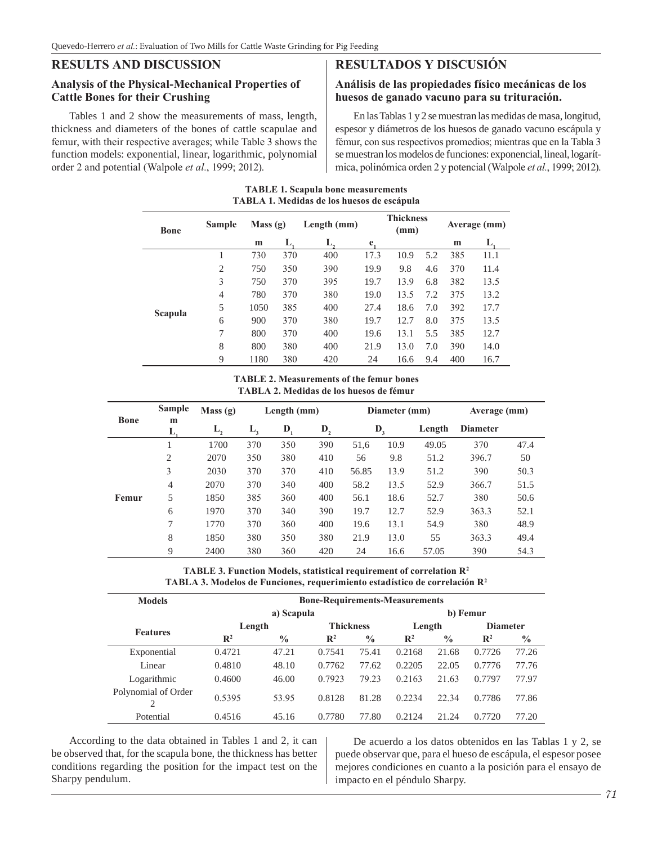## **RESULTS AND DISCUSSION**

## **Analysis of the Physical-Mechanical Properties of Cattle Bones for their Crushing**

Tables 1 and 2 show the measurements of mass, length, thickness and diameters of the bones of cattle scapulae and femur, with their respective averages; while Table 3 shows the function models: exponential, linear, logarithmic, polynomial order 2 and potential (Walpole *et al.*, 1999; 2012).

# **RESULTADOS Y DISCUSIÓN**

#### **Análisis de las propiedades físico mecánicas de los huesos de ganado vacuno para su trituración.**

En las Tablas 1 y 2 se muestran las medidas de masa, longitud, espesor y diámetros de los huesos de ganado vacuno escápula y fémur, con sus respectivos promedios; mientras que en la Tabla 3 se muestran los modelos de funciones: exponencial, lineal, logarítmica, polinómica orden 2 y potencial (Walpole *et al.*, 1999; 2012).

|             |        |         |     | 17111171 1. летичная ис 109 писявя ис сясарина |      |                          |              |      |  |
|-------------|--------|---------|-----|------------------------------------------------|------|--------------------------|--------------|------|--|
| <b>Bone</b> | Sample | Mass(g) |     | Length (mm)                                    |      | <b>Thickness</b><br>(mm) | Average (mm) |      |  |
|             |        | m       | L.  | L,                                             | e.   |                          | m            | L.   |  |
|             |        | 730     | 370 | 400                                            | 17.3 | 10.9<br>5.2              | 385          | 11.1 |  |
|             | 2      | 750     | 350 | 390                                            | 19.9 | 9.8<br>4.6               | 370          | 11.4 |  |
|             | 3      | 750     | 370 | 395                                            | 19.7 | 13.9<br>6.8              | 382          | 13.5 |  |
|             | 4      | 780     | 370 | 380                                            | 19.0 | 13.5<br>7.2              | 375          | 13.2 |  |
|             | 5      | 1050    | 385 | 400                                            | 27.4 | 18.6<br>7.0              | 392          | 17.7 |  |
| Scapula     | 6      | 900     | 370 | 380                                            | 19.7 | 8.0<br>12.7              | 375          | 13.5 |  |
|             | 7      | 800     | 370 | 400                                            | 19.6 | 13.1<br>5.5              | 385          | 12.7 |  |
|             | 8      | 800     | 380 | 400                                            | 21.9 | 13.0<br>7.0              | 390          | 14.0 |  |
|             | 9      | 1180    | 380 | 420                                            | 24   | 16.6<br>9.4              | 400          | 16.7 |  |

#### **TABLE 1. Scapula bone measurements TABLA 1. Medidas de los huesos de escápula**

#### **TABLE 2. Measurements of the femur bones TABLA 2. Medidas de los huesos de fémur**

|       | <b>Sample</b>  | Mass(g) |         | Length (mm)      |         |       | Diameter (mm) |        |                 | Average (mm) |
|-------|----------------|---------|---------|------------------|---------|-------|---------------|--------|-----------------|--------------|
| Bone  | m<br>ш,        | $L_{2}$ | $L_{3}$ | $\mathbf{D}_{1}$ | $D_{2}$ |       | $D_3$         | Length | <b>Diameter</b> |              |
|       |                | 1700    | 370     | 350              | 390     | 51,6  | 10.9          | 49.05  | 370             | 47.4         |
|       | $\overline{2}$ | 2070    | 350     | 380              | 410     | 56    | 9.8           | 51.2   | 396.7           | 50           |
|       | 3              | 2030    | 370     | 370              | 410     | 56.85 | 13.9          | 51.2   | 390             | 50.3         |
|       | $\overline{4}$ | 2070    | 370     | 340              | 400     | 58.2  | 13.5          | 52.9   | 366.7           | 51.5         |
| Femur | 5              | 1850    | 385     | 360              | 400     | 56.1  | 18.6          | 52.7   | 380             | 50.6         |
|       | 6              | 1970    | 370     | 340              | 390     | 19.7  | 12.7          | 52.9   | 363.3           | 52.1         |
|       | 7              | 1770    | 370     | 360              | 400     | 19.6  | 13.1          | 54.9   | 380             | 48.9         |
|       | 8              | 1850    | 380     | 350              | 380     | 21.9  | 13.0          | 55     | 363.3           | 49.4         |
|       | 9              | 2400    | 380     | 360              | 420     | 24    | 16.6          | 57.05  | 390             | 54.3         |

**TABLE 3. Function Models, statistical requirement of correlation R2 TABLA 3. Modelos de Funciones, requerimiento estadístico de correlación R2**

| <b>Models</b>                         | <b>Bone-Requirements-Measurements</b> |               |                  |               |                |               |                 |               |  |  |
|---------------------------------------|---------------------------------------|---------------|------------------|---------------|----------------|---------------|-----------------|---------------|--|--|
|                                       |                                       | a) Scapula    |                  |               |                |               | b) Femur        |               |  |  |
|                                       | Length                                |               | <b>Thickness</b> |               | Length         |               | <b>Diameter</b> |               |  |  |
| <b>Features</b>                       | $\mathbb{R}^2$                        | $\frac{0}{0}$ | $\mathbb{R}^2$   | $\frac{0}{0}$ | $\mathbb{R}^2$ | $\frac{0}{0}$ | $\mathbb{R}^2$  | $\frac{0}{0}$ |  |  |
| Exponential                           | 0.4721                                | 47.21         | 0.7541           | 75.41         | 0.2168         | 21.68         | 0.7726          | 77.26         |  |  |
| Linear                                | 0.4810                                | 48.10         | 0.7762           | 77.62         | 0.2205         | 22.05         | 0.7776          | 77.76         |  |  |
| Logarithmic                           | 0.4600                                | 46.00         | 0.7923           | 79.23         | 0.2163         | 21.63         | 0.7797          | 77.97         |  |  |
| Polynomial of Order<br>$\overline{c}$ | 0.5395                                | 53.95         | 0.8128           | 81.28         | 0.2234         | 22.34         | 0.7786          | 77.86         |  |  |
| Potential                             | 0.4516                                | 45.16         | 0.7780           | 77.80         | 0.2124         | 21.24         | 0.7720          | 77.20         |  |  |

According to the data obtained in Tables 1 and 2, it can be observed that, for the scapula bone, the thickness has better conditions regarding the position for the impact test on the Sharpy pendulum.

De acuerdo a los datos obtenidos en las Tablas 1 y 2, se puede observar que, para el hueso de escápula, el espesor posee mejores condiciones en cuanto a la posición para el ensayo de impacto en el péndulo Sharpy.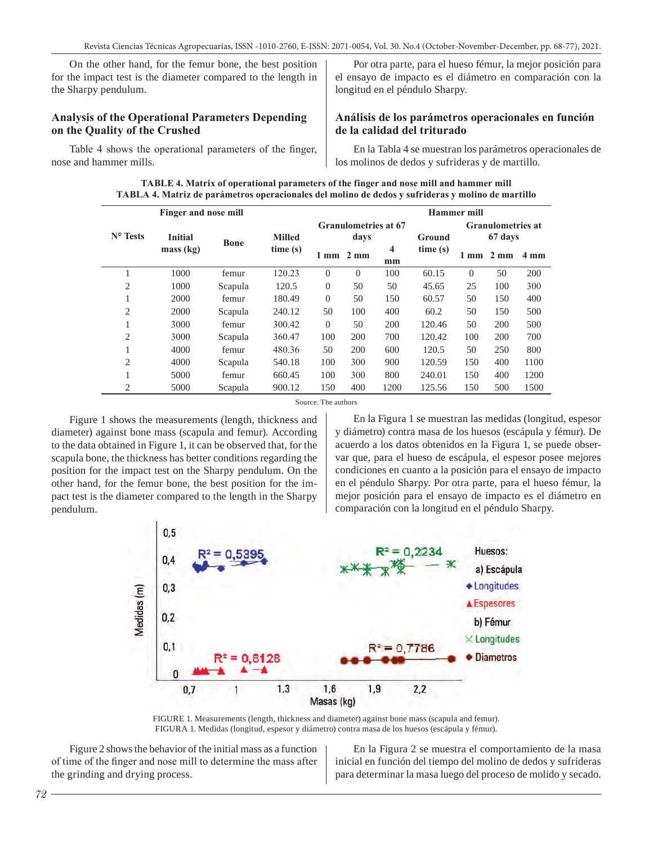On the other hand, for the femur bone, the best position for the impact test is the diameter compared to the length in the Sharpy pendulum.

#### **Analysis of the Operational Parameters Depending on the Quality of the Crushed**

Table 4 shows the operational parameters of the finger, nose and hammer mills.

Por otra parte, para el hueso fémur, la mejor posición para el ensayo de impacto es el diámetro en comparación con la longitud en el péndulo Sharpy.

#### **Análisis de los parámetros operacionales en función de la calidad del triturado**

En la Tabla 4 se muestran los parámetros operacionales de los molinos de dedos y sufrideras y de martillo.

| TABLE 4. Matrix of operational parameters of the finger and nose mill and hammer mill             |
|---------------------------------------------------------------------------------------------------|
| TABLA 4. Matriz de parámetros operacionales del molino de dedos y sufrideras y molino de martillo |

|                   | Finger and nose mill |             |               |                             |                | Hammer mill              |         |          |                |                |  |
|-------------------|----------------------|-------------|---------------|-----------------------------|----------------|--------------------------|---------|----------|----------------|----------------|--|
|                   |                      |             |               | <b>Granulometries at 67</b> |                | <b>Granulometries at</b> |         |          |                |                |  |
| $N^{\circ}$ Tests | <b>Initial</b>       | <b>Bone</b> | <b>Milled</b> | davs                        |                |                          | Ground  |          | 67 days        |                |  |
|                   | mass (kg)            |             | time(s)       | 1 mm                        | $2 \text{ mm}$ | $\overline{\mathbf{4}}$  | time(s) | mm       | $2 \text{ mm}$ | $4 \text{ mm}$ |  |
|                   |                      |             |               |                             |                | mm                       |         |          |                |                |  |
|                   | 1000                 | femur       | 120.23        | $\Omega$                    | $\Omega$       | 100                      | 60.15   | $\Omega$ | 50             | 200            |  |
| $\overline{2}$    | 1000                 | Scapula     | 120.5         | $\overline{0}$              | 50             | 50                       | 45.65   | 25       | 100            | 300            |  |
| 1                 | 2000                 | femur       | 180.49        | $\Omega$                    | 50             | 150                      | 60.57   | 50       | 150            | 400            |  |
| 2                 | 2000                 | Scapula     | 240.12        | 50                          | 100            | 400                      | 60.2    | 50       | 150            | 500            |  |
| ı.                | 3000                 | femur       | 300.42        | $\Omega$                    | 50             | 200                      | 120.46  | 50       | 200            | 500            |  |
| $\overline{2}$    | 3000                 | Scapula     | 360.47        | 100                         | 200            | 700                      | 120.42  | 100      | 200            | 700            |  |
| 1                 | 4000                 | femur       | 480.36        | 50                          | 200            | 600                      | 120.5   | 50       | 250            | 800            |  |
| $\overline{2}$    | 4000                 | Scapula     | 540.18        | 100                         | 300            | 900                      | 120.59  | 150      | 400            | 1100           |  |
|                   | 5000                 | femur       | 660.45        | 100                         | 300            | 800                      | 240.01  | 150      | 400            | 1200           |  |
| $\overline{2}$    | 5000                 | Scapula     | 900.12        | 150                         | 400            | 1200                     | 125.56  | 150      | 500            | 1500           |  |

Source. The authors

Figure 1 shows the measurements (length, thickness and diameter) against bone mass (scapula and femur). According to the data obtained in Figure 1, it can be observed that, for the scapula bone, the thickness has better conditions regarding the position for the impact test on the Sharpy pendulum. On the other hand, for the femur bone, the best position for the impact test is the diameter compared to the length in the Sharpy pendulum.

En la Figura 1 se muestran las medidas (longitud, espesor y diámetro) contra masa de los huesos (escápula y fémur). De acuerdo a los datos obtenidos en la Figura 1, se puede observar que, para el hueso de escápula, el espesor posee mejores condiciones en cuanto a la posición para el ensayo de impacto en el péndulo Sharpy. Por otra parte, para el hueso fémur, la mejor posición para el ensayo de impacto es el diámetro en comparación con la longitud en el péndulo Sharpy.



FIGURE 1. Measurements (length, thickness and diameter) against bone mass (scapula and femur). FIGURA 1. Medidas (longitud, espesor y diámetro) contra masa de los huesos (escápula y fémur).

Figure 2 shows the behavior of the initial mass as a function of time of the finger and nose mill to determine the mass after the grinding and drying process.

En la Figura 2 se muestra el comportamiento de la masa inicial en función del tiempo del molino de dedos y sufrideras para determinar la masa luego del proceso de molido y secado.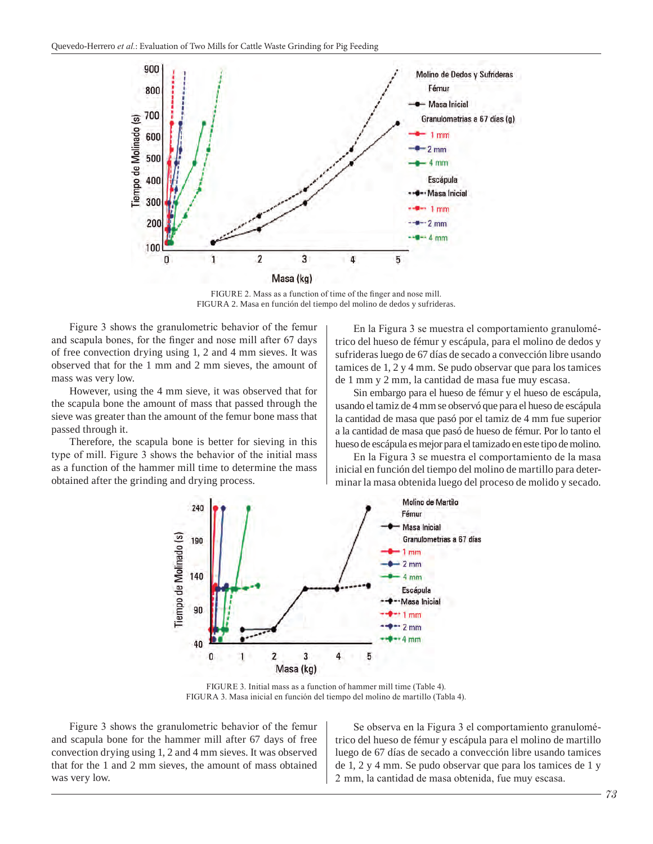

FIGURE 2. Mass as a function of time of the finger and nose mill. FIGURA 2. Masa en función del tiempo del molino de dedos y sufrideras.

Figure 3 shows the granulometric behavior of the femur and scapula bones, for the finger and nose mill after 67 days of free convection drying using 1, 2 and 4 mm sieves. It was observed that for the 1 mm and 2 mm sieves, the amount of mass was very low.

However, using the 4 mm sieve, it was observed that for the scapula bone the amount of mass that passed through the sieve was greater than the amount of the femur bone mass that passed through it.

Therefore, the scapula bone is better for sieving in this type of mill. Figure 3 shows the behavior of the initial mass as a function of the hammer mill time to determine the mass obtained after the grinding and drying process.

En la Figura 3 se muestra el comportamiento granulométrico del hueso de fémur y escápula, para el molino de dedos y sufrideras luego de 67 días de secado a convección libre usando tamices de 1, 2 y 4 mm. Se pudo observar que para los tamices de 1 mm y 2 mm, la cantidad de masa fue muy escasa.

Sin embargo para el hueso de fémur y el hueso de escápula, usando el tamiz de 4 mm se observó que para el hueso de escápula la cantidad de masa que pasó por el tamiz de 4 mm fue superior a la cantidad de masa que pasó de hueso de fémur. Por lo tanto el hueso de escápula es mejor para el tamizado en este tipo de molino.

En la Figura 3 se muestra el comportamiento de la masa inicial en función del tiempo del molino de martillo para determinar la masa obtenida luego del proceso de molido y secado.



FIGURE 3. Initial mass as a function of hammer mill time (Table 4). FIGURA 3. Masa inicial en función del tiempo del molino de martillo (Tabla 4).

Figure 3 shows the granulometric behavior of the femur and scapula bone for the hammer mill after 67 days of free convection drying using 1, 2 and 4 mm sieves. It was observed that for the 1 and 2 mm sieves, the amount of mass obtained was very low.

Se observa en la Figura 3 el comportamiento granulométrico del hueso de fémur y escápula para el molino de martillo luego de 67 días de secado a convección libre usando tamices de 1, 2 y 4 mm. Se pudo observar que para los tamices de 1 y 2  mm, la cantidad de masa obtenida, fue muy escasa.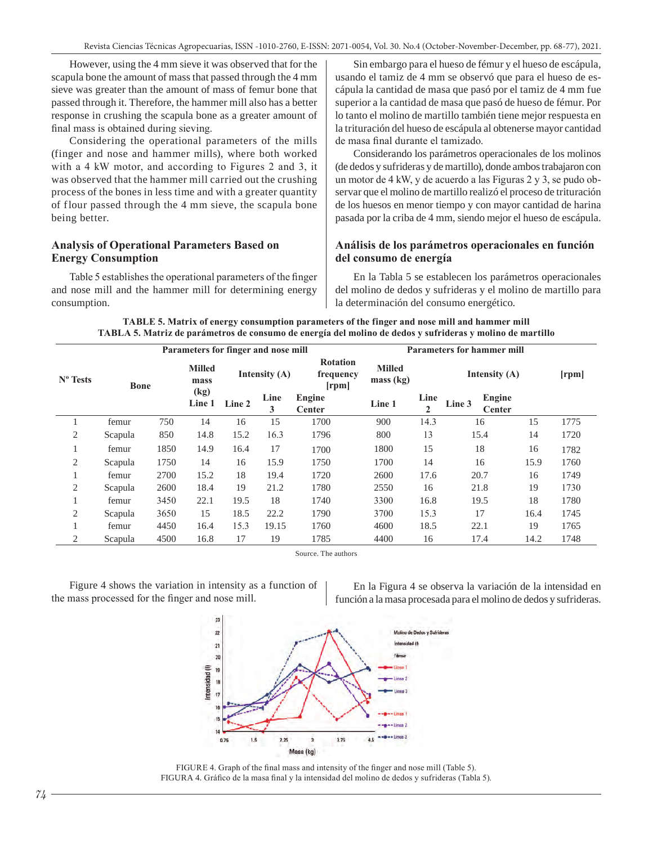However, using the 4 mm sieve it was observed that for the scapula bone the amount of mass that passed through the 4 mm sieve was greater than the amount of mass of femur bone that passed through it. Therefore, the hammer mill also has a better response in crushing the scapula bone as a greater amount of final mass is obtained during sieving.

Considering the operational parameters of the mills (finger and nose and hammer mills), where both worked with a 4 kW motor, and according to Figures 2 and 3, it was observed that the hammer mill carried out the crushing process of the bones in less time and with a greater quantity of flour passed through the 4 mm sieve, the scapula bone being better.

#### **Analysis of Operational Parameters Based on Energy Consumption**

Table 5 establishes the operational parameters of the finger and nose mill and the hammer mill for determining energy consumption.

Sin embargo para el hueso de fémur y el hueso de escápula, usando el tamiz de 4 mm se observó que para el hueso de escápula la cantidad de masa que pasó por el tamiz de 4 mm fue superior a la cantidad de masa que pasó de hueso de fémur. Por lo tanto el molino de martillo también tiene mejor respuesta en la trituración del hueso de escápula al obtenerse mayor cantidad de masa final durante el tamizado.

Considerando los parámetros operacionales de los molinos (de dedos y sufrideras y de martillo), donde ambos trabajaron con un motor de 4 kW, y de acuerdo a las Figuras 2 y 3, se pudo observar que el molino de martillo realizó el proceso de trituración de los huesos en menor tiempo y con mayor cantidad de harina pasada por la criba de 4 mm, siendo mejor el hueso de escápula.

#### **Análisis de los parámetros operacionales en función del consumo de energía**

En la Tabla 5 se establecen los parámetros operacionales del molino de dedos y sufrideras y el molino de martillo para la determinación del consumo energético.

|  | TABLE 5. Matrix of energy consumption parameters of the finger and nose mill and hammer mill              |  |
|--|-----------------------------------------------------------------------------------------------------------|--|
|  | TABLA 5. Matriz de parámetros de consumo de energía del molino de dedos y sufrideras y molino de martillo |  |

| Parameters for finger and nose mill |             |      |                                      |        |                 | <b>Parameters for hammer mill</b>     |                            |                      |                                   |      |      |  |
|-------------------------------------|-------------|------|--------------------------------------|--------|-----------------|---------------------------------------|----------------------------|----------------------|-----------------------------------|------|------|--|
| N <sup>o</sup> Tests                | <b>Bone</b> |      | <b>Milled</b><br>mass                |        | Intensity $(A)$ | <b>Rotation</b><br>frequency<br>[rpm] | <b>Milled</b><br>mass (kg) |                      | Intensity $(A)$                   |      |      |  |
|                                     |             |      | $\left(\mathrm{kg}\right)$<br>Line 1 | Line 2 | Line<br>3       | Engine<br><b>Center</b>               | Line 1                     | Line<br>$\mathbf{2}$ | Engine<br>Line 3<br><b>Center</b> |      |      |  |
|                                     | femur       | 750  | 14                                   | 16     | 15              | 1700                                  | 900                        | 14.3                 | 16                                | 15   | 1775 |  |
| 2                                   | Scapula     | 850  | 14.8                                 | 15.2   | 16.3            | 1796                                  | 800                        | 13                   | 15.4                              | 14   | 1720 |  |
|                                     | femur       | 1850 | 14.9                                 | 16.4   | 17              | 1700                                  | 1800                       | 15                   | 18                                | 16   | 1782 |  |
| 2                                   | Scapula     | 1750 | 14                                   | 16     | 15.9            | 1750                                  | 1700                       | 14                   | 16                                | 15.9 | 1760 |  |
| 1                                   | femur       | 2700 | 15.2                                 | 18     | 19.4            | 1720                                  | 2600                       | 17.6                 | 20.7                              | 16   | 1749 |  |
| 2                                   | Scapula     | 2600 | 18.4                                 | 19     | 21.2            | 1780                                  | 2550                       | 16                   | 21.8                              | 19   | 1730 |  |
|                                     | femur       | 3450 | 22.1                                 | 19.5   | 18              | 1740                                  | 3300                       | 16.8                 | 19.5                              | 18   | 1780 |  |
| 2                                   | Scapula     | 3650 | 15                                   | 18.5   | 22.2            | 1790                                  | 3700                       | 15.3                 | 17                                | 16.4 | 1745 |  |
| 1                                   | femur       | 4450 | 16.4                                 | 15.3   | 19.15           | 1760                                  | 4600                       | 18.5                 | 22.1                              | 19   | 1765 |  |
| 2                                   | Scapula     | 4500 | 16.8                                 | 17     | 19              | 1785                                  | 4400                       | 16                   | 17.4                              | 14.2 | 1748 |  |

Source. The authors

Figure 4 shows the variation in intensity as a function of the mass processed for the finger and nose mill.

En la Figura 4 se observa la variación de la intensidad en función a la masa procesada para el molino de dedos y sufrideras.



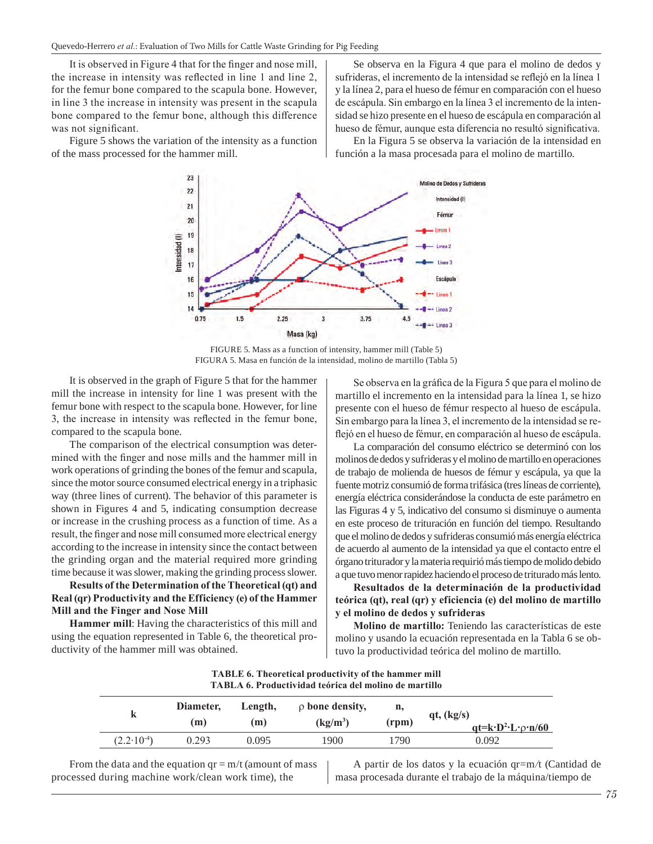It is observed in Figure 4 that for the finger and nose mill, the increase in intensity was reflected in line 1 and line 2, for the femur bone compared to the scapula bone. However, in line 3 the increase in intensity was present in the scapula bone compared to the femur bone, although this difference was not significant.

Figure 5 shows the variation of the intensity as a function of the mass processed for the hammer mill.

Se observa en la Figura 4 que para el molino de dedos y sufrideras, el incremento de la intensidad se reflejó en la línea 1 y la línea 2, para el hueso de fémur en comparación con el hueso de escápula. Sin embargo en la línea 3 el incremento de la intensidad se hizo presente en el hueso de escápula en comparación al hueso de fémur, aunque esta diferencia no resultó significativa.

En la Figura 5 se observa la variación de la intensidad en función a la masa procesada para el molino de martillo.



FIGURE 5. Mass as a function of intensity, hammer mill (Table 5) FIGURA 5. Masa en función de la intensidad, molino de martillo (Tabla 5)

It is observed in the graph of Figure 5 that for the hammer mill the increase in intensity for line 1 was present with the femur bone with respect to the scapula bone. However, for line 3, the increase in intensity was reflected in the femur bone, compared to the scapula bone.

The comparison of the electrical consumption was determined with the finger and nose mills and the hammer mill in work operations of grinding the bones of the femur and scapula, since the motor source consumed electrical energy in a triphasic way (three lines of current). The behavior of this parameter is shown in Figures 4 and 5, indicating consumption decrease or increase in the crushing process as a function of time. As a result, the finger and nose mill consumed more electrical energy according to the increase in intensity since the contact between the grinding organ and the material required more grinding time because it was slower, making the grinding process slower.

**Results of the Determination of the Theoretical (qt) and Real (qr) Productivity and the Efficiency (e) of the Hammer Mill and the Finger and Nose Mill**

**Hammer mill**: Having the characteristics of this mill and using the equation represented in Table 6, the theoretical productivity of the hammer mill was obtained.

Se observa en la gráfica de la Figura 5 que para el molino de martillo el incremento en la intensidad para la línea 1, se hizo presente con el hueso de fémur respecto al hueso de escápula. Sin embargo para la línea 3, el incremento de la intensidad se reflejó en el hueso de fémur, en comparación al hueso de escápula.

La comparación del consumo eléctrico se determinó con los molinos de dedos y sufrideras y el molino de martillo en operaciones de trabajo de molienda de huesos de fémur y escápula, ya que la fuente motriz consumió de forma trifásica (tres líneas de corriente), energía eléctrica considerándose la conducta de este parámetro en las Figuras 4 y 5, indicativo del consumo si disminuye o aumenta en este proceso de trituración en función del tiempo. Resultando que el molino de dedos y sufrideras consumió más energía eléctrica de acuerdo al aumento de la intensidad ya que el contacto entre el órgano triturador y la materia requirió más tiempo de molido debido a que tuvo menor rapidez haciendo el proceso de triturado más lento.

**Resultados de la determinación de la productividad teórica (qt), real (qr) y eficiencia (e) del molino de martillo y el molino de dedos y sufrideras**

**Molino de martillo:** Teniendo las características de este molino y usando la ecuación representada en la Tabla 6 se obtuvo la productividad teórica del molino de martillo.

| TABLA 6. Productividad teorica del molino de martillo |                  |                |                                    |             |                                                              |  |  |  |  |  |
|-------------------------------------------------------|------------------|----------------|------------------------------------|-------------|--------------------------------------------------------------|--|--|--|--|--|
|                                                       | Diameter,<br>(m) | Length,<br>(m) | $\rho$ bone density,<br>$(kg/m^3)$ | n,<br>(rpm) | qt, (kg/s)<br>$qt=k \cdot D^2 \cdot L \cdot \rho \cdot n/60$ |  |  |  |  |  |
| $(2.2.10)$ <sup>4</sup> )                             | 0.293            | 0.095          | 1900                               | 1790        | 0.092                                                        |  |  |  |  |  |

**TABLE 6. Theoretical productivity of the hammer mill TABLA 6. Productividad teórica del molino de martillo**

From the data and the equation  $qr = m/t$  (amount of mass processed during machine work/clean work time), the

A partir de los datos y la ecuación qr=m*/*t (Cantidad de masa procesada durante el trabajo de la máquina/tiempo de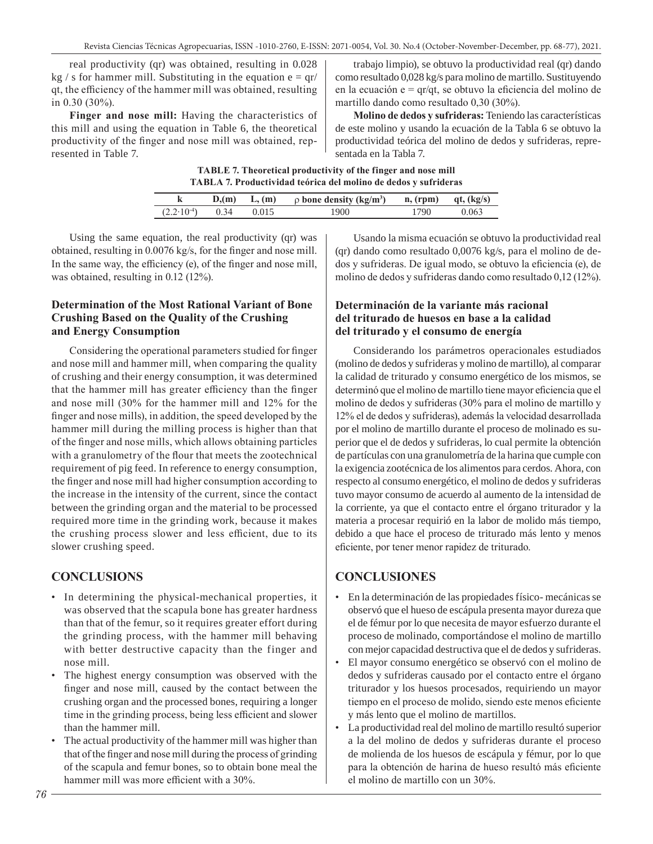real productivity (qr) was obtained, resulting in 0.028 kg / s for hammer mill. Substituting in the equation  $e = \frac{qr}{r}$ qt, the efficiency of the hammer mill was obtained, resulting in 0.30 (30%).

**Finger and nose mill:** Having the characteristics of this mill and using the equation in Table 6, the theoretical productivity of the finger and nose mill was obtained, represented in Table 7.

trabajo limpio), se obtuvo la productividad real (qr) dando como resultado 0,028 kg/s para molino de martillo. Sustituyendo en la ecuación  $e = \frac{qr}{qt}$ , se obtuvo la eficiencia del molino de martillo dando como resultado 0,30 (30%).

**Molino de dedos y sufrideras:** Teniendo las características de este molino y usando la ecuación de la Tabla 6 se obtuvo la productividad teórica del molino de dedos y sufrideras, representada en la Tabla 7.

**TABLE 7. Theoretical productivity of the finger and nose mill TABLA 7. Productividad teórica del molino de dedos y sufrideras**

|                                  |  | $D_2(m)$ L, (m) $\rho$ bone density (kg/m <sup>3</sup> ) n, (rpm) qt, (kg/s) |      |       |
|----------------------------------|--|------------------------------------------------------------------------------|------|-------|
| $(2.2 \cdot 10^{-4})$ 0.34 0.015 |  | 1900                                                                         | 1790 | 0.063 |
|                                  |  |                                                                              |      |       |

Using the same equation, the real productivity (qr) was obtained, resulting in 0.0076 kg/s, for the finger and nose mill. In the same way, the efficiency (e), of the finger and nose mill, was obtained, resulting in 0.12 (12%).

## **Determination of the Most Rational Variant of Bone Crushing Based on the Quality of the Crushing and Energy Consumption**

Considering the operational parameters studied for finger and nose mill and hammer mill, when comparing the quality of crushing and their energy consumption, it was determined that the hammer mill has greater efficiency than the finger and nose mill (30% for the hammer mill and 12% for the finger and nose mills), in addition, the speed developed by the hammer mill during the milling process is higher than that of the finger and nose mills, which allows obtaining particles with a granulometry of the flour that meets the zootechnical requirement of pig feed. In reference to energy consumption, the finger and nose mill had higher consumption according to the increase in the intensity of the current, since the contact between the grinding organ and the material to be processed required more time in the grinding work, because it makes the crushing process slower and less efficient, due to its slower crushing speed.

# **CONCLUSIONS**

- In determining the physical-mechanical properties, it was observed that the scapula bone has greater hardness than that of the femur, so it requires greater effort during the grinding process, with the hammer mill behaving with better destructive capacity than the finger and nose mill.
- The highest energy consumption was observed with the finger and nose mill, caused by the contact between the crushing organ and the processed bones, requiring a longer time in the grinding process, being less efficient and slower than the hammer mill.
- The actual productivity of the hammer mill was higher than that of the finger and nose mill during the process of grinding of the scapula and femur bones, so to obtain bone meal the hammer mill was more efficient with a 30%.

Usando la misma ecuación se obtuvo la productividad real (qr) dando como resultado 0,0076 kg/s, para el molino de dedos y sufrideras. De igual modo, se obtuvo la eficiencia (e), de molino de dedos y sufrideras dando como resultado 0,12 (12%).

## **Determinación de la variante más racional del triturado de huesos en base a la calidad del triturado y el consumo de energía**

Considerando los parámetros operacionales estudiados (molino de dedos y sufrideras y molino de martillo), al comparar la calidad de triturado y consumo energético de los mismos, se determinó que el molino de martillo tiene mayor eficiencia que el molino de dedos y sufrideras (30% para el molino de martillo y 12% el de dedos y sufrideras), además la velocidad desarrollada por el molino de martillo durante el proceso de molinado es superior que el de dedos y sufrideras, lo cual permite la obtención de partículas con una granulometría de la harina que cumple con la exigencia zootécnica de los alimentos para cerdos. Ahora, con respecto al consumo energético, el molino de dedos y sufrideras tuvo mayor consumo de acuerdo al aumento de la intensidad de la corriente, ya que el contacto entre el órgano triturador y la materia a procesar requirió en la labor de molido más tiempo, debido a que hace el proceso de triturado más lento y menos eficiente, por tener menor rapidez de triturado.

# **CONCLUSIONES**

- En la determinación de las propiedades físico- mecánicas se observó que el hueso de escápula presenta mayor dureza que el de fémur por lo que necesita de mayor esfuerzo durante el proceso de molinado, comportándose el molino de martillo con mejor capacidad destructiva que el de dedos y sufrideras.
- El mayor consumo energético se observó con el molino de dedos y sufrideras causado por el contacto entre el órgano triturador y los huesos procesados, requiriendo un mayor tiempo en el proceso de molido, siendo este menos eficiente y más lento que el molino de martillos.
- La productividad real del molino de martillo resultó superior a la del molino de dedos y sufrideras durante el proceso de molienda de los huesos de escápula y fémur, por lo que para la obtención de harina de hueso resultó más eficiente el molino de martillo con un 30%.